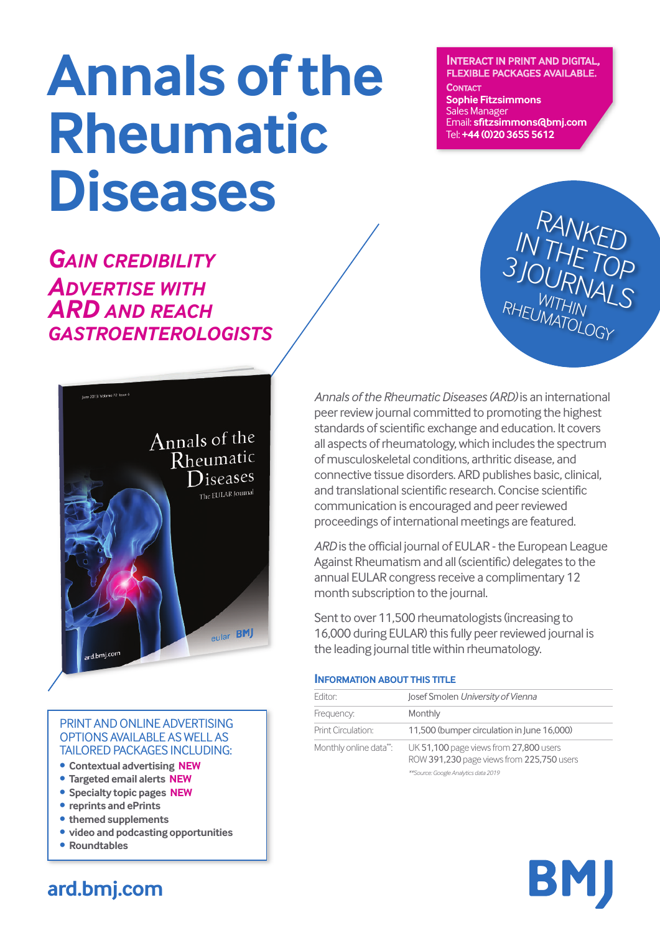# **annals ofthe rheumatic diseases**

*GAIN CREDIBILITY ADVERTISE WITH ARD AND REACH GASTROENTEROLOGISTS*



**sophie fitzsimmons** Sales Manager

CONTACT

Email: **sfitzsimmons@bmj.com** Tel: **+44 (0)20 3655 5612**

**INTERACT IN PRINT AND DIGITAL, FLEXIBLE PACKAGES AVAILABLE.** 



#### PRINT AND ONLINE ADVERTISING OPTIONS AVAILABLE ASWELL AS TAILORED PACKAGES INCLUDING:

- **• contextual advertising neW**
- **• targeted email alerts neW**
- **• specialty topic pages neW**
- **• reprints and eprints**
- **• themed supplements**
- **• video and podcasting opportunities**
- **• roundtables**

*Annals ofthe RheumaticDiseases (ARD)* is an international peer review journal committed to promoting the highest standards of scientific exchange and education. It covers all aspects ofrheumatology,which includes the spectrum of musculoskeletal conditions, arthritic disease, and connective tissue disorders. ARD publishes basic, clinical, and translational scientific research. Concise scientific communication is encouraged and peerreviewed proceedings of international meetings are featured.

ARD is the official journal of EULAR - the European League Against Rheumatism and all (scientific) delegates to the annual EULAR congress receive a complimentary 12 month subscription to the journal.

Sent to over 11,500 rheumatologists (increasing to 16,000 during EULAR) this fully peer reviewed journal is the leading journal title within rheumatology.

#### **INFORMATION ABOUT THIS TITLE**

| Editor:                | Josef Smolen University of Vienna                                                                                           |  |
|------------------------|-----------------------------------------------------------------------------------------------------------------------------|--|
| Frequency:             | Monthly                                                                                                                     |  |
| Print Circulation:     | 11,500 (bumper circulation in June 16,000)                                                                                  |  |
| Monthly online data**: | UK 51,100 page views from 27,800 users<br>ROW 391,230 page views from 225,750 users<br>**Source: Google Analytics data 2019 |  |



# **ard.bmj.com**